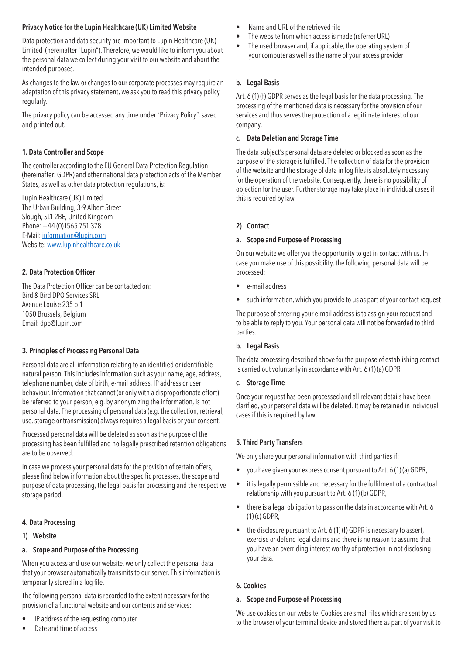# **Privacy Notice for the Lupin Healthcare (UK) Limited Website**

Data protection and data security are important to Lupin Healthcare (UK) Limited (hereinafter "Lupin"). Therefore, we would like to inform you about the personal data we collect during your visit to our website and about the intended purposes.

As changes to the law or changes to our corporate processes may require an adaptation of this privacy statement, we ask you to read this privacy policy regularly.

The privacy policy can be accessed any time under "Privacy Policy", saved and printed out.

#### **1. Data Controller and Scope**

The controller according to the EU General Data Protection Regulation (hereinafter: GDPR) and other national data protection acts of the Member States, as well as other data protection regulations, is:

Lupin Healthcare (UK) Limited The Urban Building, 3-9 Albert Street Slough, SL1 2BE, United Kingdom Phone: +44 (0)1565 751 378 E-Mail: information@lupin.com Website: www.lupinhealthcare.co.uk

# **2. Data Protection Officer**

The Data Protection Officer can be contacted on: Bird & Bird DPO Services SRL Avenue Louise 235 b 1 1050 Brussels, Belgium Email: dpo@lupin.com

#### **3. Principles of Processing Personal Data**

Personal data are all information relating to an identified or identifiable natural person. This includes information such as your name, age, address, telephone number, date of birth, e-mail address, IP address or user behaviour. Information that cannot (or only with a disproportionate effort) be referred to your person, e.g. by anonymizing the information, is not personal data. The processing of personal data (e.g. the collection, retrieval, use, storage or transmission) always requires a legal basis or your consent.

Processed personal data will be deleted as soon as the purpose of the processing has been fulfilled and no legally prescribed retention obligations are to be observed.

In case we process your personal data for the provision of certain offers, please find below information about the specific processes, the scope and purpose of data processing, the legal basis for processing and the respective storage period.

#### **4. Data Processing**

#### **1) Website**

#### **a. Scope and Purpose of the Processing**

When you access and use our website, we only collect the personal data that your browser automatically transmits to our server. This information is temporarily stored in a log file.

The following personal data is recorded to the extent necessary for the provision of a functional website and our contents and services:

- IP address of the requesting computer
- Date and time of access
- Name and URL of the retrieved file
- The website from which access is made (referrer URL)
- The used browser and, if applicable, the operating system of your computer as well as the name of your access provider

#### **b. Legal Basis**

Art. 6 (1) (f) GDPR serves as the legal basis for the data processing. The processing of the mentioned data is necessary for the provision of our services and thus serves the protection of a legitimate interest of our company.

#### **c. Data Deletion and Storage Time**

The data subject's personal data are deleted or blocked as soon as the purpose of the storage is fulfilled. The collection of data for the provision of the website and the storage of data in log files is absolutely necessary for the operation of the website. Consequently, there is no possibility of objection for the user. Further storage may take place in individual cases if this is required by law.

#### **2) Contact**

#### **a. Scope and Purpose of Processing**

On our website we offer you the opportunity to get in contact with us. In case you make use of this possibility, the following personal data will be processed:

- e-mail address
- such information, which you provide to us as part of your contact request

The purpose of entering your e-mail address is to assign your request and to be able to reply to you. Your personal data will not be forwarded to third parties.

#### **b. Legal Basis**

The data processing described above for the purpose of establishing contact is carried out voluntarily in accordance with Art. 6 (1) (a) GDPR

#### **c. Storage Time**

Once your request has been processed and all relevant details have been clarified, your personal data will be deleted. It may be retained in individual cases if this is required by law.

#### **5. Third Party Transfers**

We only share your personal information with third parties if:

- you have given your express consent pursuant to Art. 6 (1) (a) GDPR,
- it is legally permissible and necessary for the fulfilment of a contractual relationship with you pursuant to Art. 6 (1) (b) GDPR,
- there is a legal obligation to pass on the data in accordance with Art. 6 (1) (c) GDPR,
- the disclosure pursuant to Art. 6 (1) (f) GDPR is necessary to assert, exercise or defend legal claims and there is no reason to assume that you have an overriding interest worthy of protection in not disclosing your data.

# **6. Cookies**

#### **a. Scope and Purpose of Processing**

We use cookies on our website. Cookies are small files which are sent by us to the browser of your terminal device and stored there as part of your visit to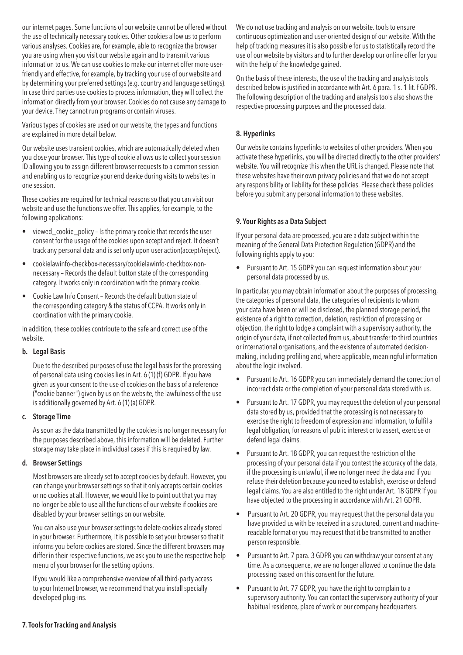our internet pages. Some functions of our website cannot be offered without the use of technically necessary cookies. Other cookies allow us to perform various analyses. Cookies are, for example, able to recognize the browser you are using when you visit our website again and to transmit various information to us. We can use cookies to make our internet offer more userfriendly and effective, for example, by tracking your use of our website and by determining your preferred settings (e.g. country and language settings). In case third parties use cookies to process information, they will collect the information directly from your browser. Cookies do not cause any damage to your device. They cannot run programs or contain viruses.

Various types of cookies are used on our website, the types and functions are explained in more detail below.

Our website uses transient cookies, which are automatically deleted when you close your browser. This type of cookie allows us to collect your session ID allowing you to assign different browser requests to a common session and enabling us to recognize your end device during visits to websites in one session.

These cookies are required for technical reasons so that you can visit our website and use the functions we offer. This applies, for example, to the following applications:

- viewed\_cookie\_policy Is the primary cookie that records the user consent for the usage of the cookies upon accept and reject. It doesn't track any personal data and is set only upon user action(accept/reject).
- cookielawinfo-checkbox-necessary/cookielawinfo-checkbox-nonnecessary – Records the default button state of the corresponding category. It works only in coordination with the primary cookie.
- Cookie Law Info Consent Records the default button state of the corresponding category & the status of CCPA. It works only in coordination with the primary cookie.

In addition, these cookies contribute to the safe and correct use of the website.

#### **b. Legal Basis**

Due to the described purposes of use the legal basis for the processing of personal data using cookies lies in Art. 6 (1) (f) GDPR. If you have given us your consent to the use of cookies on the basis of a reference ("cookie banner") given by us on the website, the lawfulness of the use is additionally governed by Art. 6 (1) (a) GDPR.

#### **c. Storage Time**

As soon as the data transmitted by the cookies is no longer necessary for the purposes described above, this information will be deleted. Further storage may take place in individual cases if this is required by law.

#### **d. Browser Settings**

Most browsers are already set to accept cookies by default. However, you can change your browser settings so that it only accepts certain cookies or no cookies at all. However, we would like to point out that you may no longer be able to use all the functions of our website if cookies are disabled by your browser settings on our website.

You can also use your browser settings to delete cookies already stored in your browser. Furthermore, it is possible to set your browser so that it informs you before cookies are stored. Since the different browsers may differ in their respective functions, we ask you to use the respective help menu of your browser for the setting options.

If you would like a comprehensive overview of all third-party access to your Internet browser, we recommend that you install specially developed plug-ins.

We do not use tracking and analysis on our website. tools to ensure continuous optimization and user-oriented design of our website. With the help of tracking measures it is also possible for us to statistically record the use of our website by visitors and to further develop our online offer for you with the help of the knowledge gained.

On the basis of these interests, the use of the tracking and analysis tools described below is justified in accordance with Art. 6 para. 1 s. 1 lit. f GDPR. The following description of the tracking and analysis tools also shows the respective processing purposes and the processed data.

# **8. Hyperlinks**

Our website contains hyperlinks to websites of other providers. When you activate these hyperlinks, you will be directed directly to the other providers' website. You will recognize this when the URL is changed. Please note that these websites have their own privacy policies and that we do not accept any responsibility or liability for these policies. Please check these policies before you submit any personal information to these websites.

# **9. Your Rights as a Data Subject**

If your personal data are processed, you are a data subject within the meaning of the General Data Protection Regulation (GDPR) and the following rights apply to you:

• Pursuant to Art. 15 GDPR you can request information about your personal data processed by us.

In particular, you may obtain information about the purposes of processing, the categories of personal data, the categories of recipients to whom your data have been or will be disclosed, the planned storage period, the existence of a right to correction, deletion, restriction of processing or objection, the right to lodge a complaint with a supervisory authority, the origin of your data, if not collected from us, about transfer to third countries or international organisations, and the existence of automated decisionmaking, including profiling and, where applicable, meaningful information about the logic involved.

- Pursuant to Art. 16 GDPR you can immediately demand the correction of incorrect data or the completion of your personal data stored with us.
- Pursuant to Art. 17 GDPR, you may request the deletion of your personal data stored by us, provided that the processing is not necessary to exercise the right to freedom of expression and information, to fulfil a legal obligation, for reasons of public interest or to assert, exercise or defend legal claims.
- Pursuant to Art. 18 GDPR, you can request the restriction of the processing of your personal data if you contest the accuracy of the data, if the processing is unlawful, if we no longer need the data and if you refuse their deletion because you need to establish, exercise or defend legal claims. You are also entitled to the right under Art. 18 GDPR if you have objected to the processing in accordance with Art. 21 GDPR.
- Pursuant to Art. 20 GDPR, you may request that the personal data you have provided us with be received in a structured, current and machinereadable format or you may request that it be transmitted to another person responsible.
- Pursuant to Art. 7 para. 3 GDPR you can withdraw your consent at any time. As a consequence, we are no longer allowed to continue the data processing based on this consent for the future.
- Pursuant to Art. 77 GDPR, you have the right to complain to a supervisory authority. You can contact the supervisory authority of your habitual residence, place of work or our company headquarters.